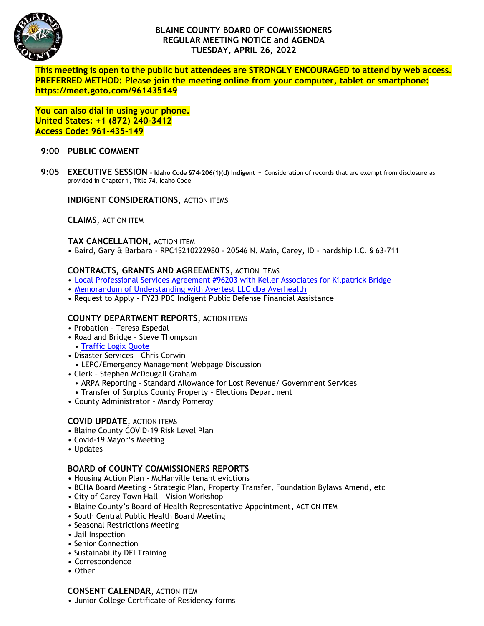

# **BLAINE COUNTY BOARD OF COMMISSIONERS REGULAR MEETING NOTICE and AGENDA TUESDAY, APRIL 26, 2022**

**This meeting is open to the public but attendees are STRONGLY ENCOURAGED to attend by web access. PREFERRED METHOD: Please join the meeting online from your computer, tablet or smartphone: https://meet.goto.com/961435149**

**You can also dial in using your phone. United States: +1 (872) 240-3412 Access Code: 961-435-149**

### **9:00 PUBLIC COMMENT**

**9:05 EXECUTIVE SESSION – Idaho Code §74-206(1)(d) Indigent -** Consideration of records that are exempt from disclosure as provided in Chapter 1, Title 74, Idaho Code

**INDIGENT CONSIDERATIONS**, ACTION ITEMS

**CLAIMS**, ACTION ITEM

### **TAX CANCELLATION,** ACTION ITEM

• Baird, Gary & Barbara - RPC1S210222980 - 20546 N. Main, Carey, ID - hardship I.C. § 63-711

## **CONTRACTS, GRANTS AND AGREEMENTS**, ACTION ITEMS

- [Local Professional Services Agreement #96203 with Keller Associates for Kilpatrick Bridge](https://www.co.blaine.id.us/DocumentCenter/View/18482/Kilpatrick-Bridge)
- [Memorandum of Understanding with Avertest LLC dba Averhealth](https://www.co.blaine.id.us/DocumentCenter/View/18481/Avertest-DBA-Averhealth-Memorandum-of-Understanding_001)
- Request to Apply FY23 PDC Indigent Public Defense Financial Assistance

#### **COUNTY DEPARTMENT REPORTS**, ACTION ITEMS

- Probation Teresa Espedal
- Road and Bridge Steve Thompson
- [Traffic Logix Quote](https://www.co.blaine.id.us/DocumentCenter/View/18483/Traffic-Logix)
- Disaster Services Chris Corwin
- LEPC/Emergency Management Webpage Discussion
- Clerk Stephen McDougall Graham
	- ARPA Reporting Standard Allowance for Lost Revenue/ Government Services
	- Transfer of Surplus County Property Elections Department
- County Administrator Mandy Pomeroy

## **COVID UPDATE**, ACTION ITEMS

- Blaine County COVID-19 Risk Level Plan
- Covid-19 Mayor's Meeting
- Updates

#### **BOARD of COUNTY COMMISSIONERS REPORTS**

- Housing Action Plan McHanville tenant evictions
- BCHA Board Meeting Strategic Plan, Property Transfer, Foundation Bylaws Amend, etc
- City of Carey Town Hall Vision Workshop
- Blaine County's Board of Health Representative Appointment, ACTION ITEM
- South Central Public Health Board Meeting
- Seasonal Restrictions Meeting
- Jail Inspection
- Senior Connection
- Sustainability DEI Training
- Correspondence
- Other

#### **CONSENT CALENDAR**, ACTION ITEM

• Junior College Certificate of Residency forms